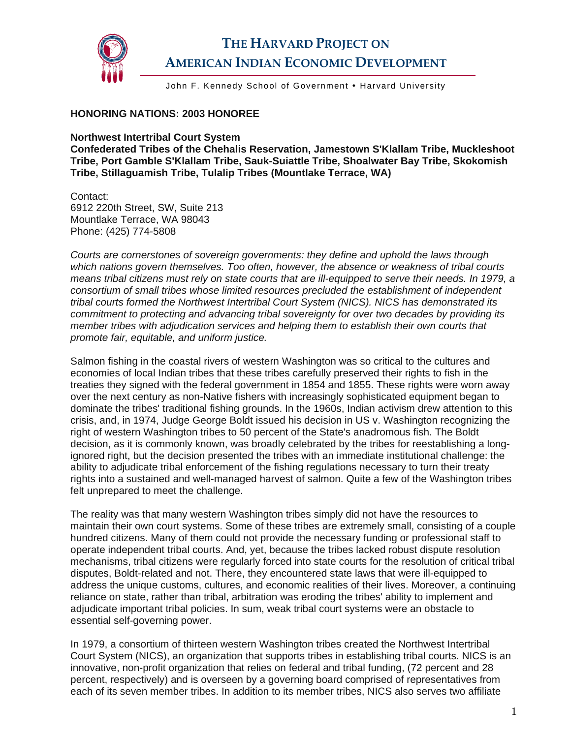

## **THE HARVARD PROJECT ON AMERICAN INDIAN ECONOMIC DEVELOPMENT**

John F. Kennedy School of Government • Harvard University

## **HONORING NATIONS: 2003 HONOREE**

**Northwest Intertribal Court System** 

**Confederated Tribes of the Chehalis Reservation, Jamestown S'Klallam Tribe, Muckleshoot Tribe, Port Gamble S'Klallam Tribe, Sauk-Suiattle Tribe, Shoalwater Bay Tribe, Skokomish Tribe, Stillaguamish Tribe, Tulalip Tribes (Mountlake Terrace, WA)** 

Contact: 6912 220th Street, SW, Suite 213 Mountlake Terrace, WA 98043 Phone: (425) 774-5808

*Courts are cornerstones of sovereign governments: they define and uphold the laws through which nations govern themselves. Too often, however, the absence or weakness of tribal courts means tribal citizens must rely on state courts that are ill-equipped to serve their needs. In 1979, a consortium of small tribes whose limited resources precluded the establishment of independent tribal courts formed the Northwest Intertribal Court System (NICS). NICS has demonstrated its commitment to protecting and advancing tribal sovereignty for over two decades by providing its member tribes with adjudication services and helping them to establish their own courts that promote fair, equitable, and uniform justice.* 

Salmon fishing in the coastal rivers of western Washington was so critical to the cultures and economies of local Indian tribes that these tribes carefully preserved their rights to fish in the treaties they signed with the federal government in 1854 and 1855. These rights were worn away over the next century as non-Native fishers with increasingly sophisticated equipment began to dominate the tribes' traditional fishing grounds. In the 1960s, Indian activism drew attention to this crisis, and, in 1974, Judge George Boldt issued his decision in US v. Washington recognizing the right of western Washington tribes to 50 percent of the State's anadromous fish. The Boldt decision, as it is commonly known, was broadly celebrated by the tribes for reestablishing a longignored right, but the decision presented the tribes with an immediate institutional challenge: the ability to adjudicate tribal enforcement of the fishing regulations necessary to turn their treaty rights into a sustained and well-managed harvest of salmon. Quite a few of the Washington tribes felt unprepared to meet the challenge.

The reality was that many western Washington tribes simply did not have the resources to maintain their own court systems. Some of these tribes are extremely small, consisting of a couple hundred citizens. Many of them could not provide the necessary funding or professional staff to operate independent tribal courts. And, yet, because the tribes lacked robust dispute resolution mechanisms, tribal citizens were regularly forced into state courts for the resolution of critical tribal disputes, Boldt-related and not. There, they encountered state laws that were ill-equipped to address the unique customs, cultures, and economic realities of their lives. Moreover, a continuing reliance on state, rather than tribal, arbitration was eroding the tribes' ability to implement and adjudicate important tribal policies. In sum, weak tribal court systems were an obstacle to essential self-governing power.

In 1979, a consortium of thirteen western Washington tribes created the Northwest Intertribal Court System (NICS), an organization that supports tribes in establishing tribal courts. NICS is an innovative, non-profit organization that relies on federal and tribal funding, (72 percent and 28 percent, respectively) and is overseen by a governing board comprised of representatives from each of its seven member tribes. In addition to its member tribes, NICS also serves two affiliate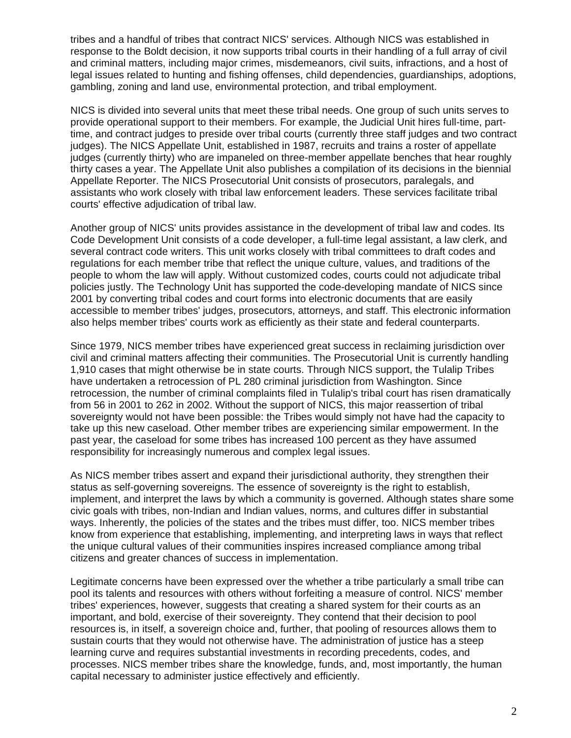tribes and a handful of tribes that contract NICS' services. Although NICS was established in response to the Boldt decision, it now supports tribal courts in their handling of a full array of civil and criminal matters, including major crimes, misdemeanors, civil suits, infractions, and a host of legal issues related to hunting and fishing offenses, child dependencies, guardianships, adoptions, gambling, zoning and land use, environmental protection, and tribal employment.

NICS is divided into several units that meet these tribal needs. One group of such units serves to provide operational support to their members. For example, the Judicial Unit hires full-time, parttime, and contract judges to preside over tribal courts (currently three staff judges and two contract judges). The NICS Appellate Unit, established in 1987, recruits and trains a roster of appellate judges (currently thirty) who are impaneled on three-member appellate benches that hear roughly thirty cases a year. The Appellate Unit also publishes a compilation of its decisions in the biennial Appellate Reporter. The NICS Prosecutorial Unit consists of prosecutors, paralegals, and assistants who work closely with tribal law enforcement leaders. These services facilitate tribal courts' effective adjudication of tribal law.

Another group of NICS' units provides assistance in the development of tribal law and codes. Its Code Development Unit consists of a code developer, a full-time legal assistant, a law clerk, and several contract code writers. This unit works closely with tribal committees to draft codes and regulations for each member tribe that reflect the unique culture, values, and traditions of the people to whom the law will apply. Without customized codes, courts could not adjudicate tribal policies justly. The Technology Unit has supported the code-developing mandate of NICS since 2001 by converting tribal codes and court forms into electronic documents that are easily accessible to member tribes' judges, prosecutors, attorneys, and staff. This electronic information also helps member tribes' courts work as efficiently as their state and federal counterparts.

Since 1979, NICS member tribes have experienced great success in reclaiming jurisdiction over civil and criminal matters affecting their communities. The Prosecutorial Unit is currently handling 1,910 cases that might otherwise be in state courts. Through NICS support, the Tulalip Tribes have undertaken a retrocession of PL 280 criminal jurisdiction from Washington. Since retrocession, the number of criminal complaints filed in Tulalip's tribal court has risen dramatically from 56 in 2001 to 262 in 2002. Without the support of NICS, this major reassertion of tribal sovereignty would not have been possible: the Tribes would simply not have had the capacity to take up this new caseload. Other member tribes are experiencing similar empowerment. In the past year, the caseload for some tribes has increased 100 percent as they have assumed responsibility for increasingly numerous and complex legal issues.

As NICS member tribes assert and expand their jurisdictional authority, they strengthen their status as self-governing sovereigns. The essence of sovereignty is the right to establish, implement, and interpret the laws by which a community is governed. Although states share some civic goals with tribes, non-Indian and Indian values, norms, and cultures differ in substantial ways. Inherently, the policies of the states and the tribes must differ, too. NICS member tribes know from experience that establishing, implementing, and interpreting laws in ways that reflect the unique cultural values of their communities inspires increased compliance among tribal citizens and greater chances of success in implementation.

Legitimate concerns have been expressed over the whether a tribe particularly a small tribe can pool its talents and resources with others without forfeiting a measure of control. NICS' member tribes' experiences, however, suggests that creating a shared system for their courts as an important, and bold, exercise of their sovereignty. They contend that their decision to pool resources is, in itself, a sovereign choice and, further, that pooling of resources allows them to sustain courts that they would not otherwise have. The administration of justice has a steep learning curve and requires substantial investments in recording precedents, codes, and processes. NICS member tribes share the knowledge, funds, and, most importantly, the human capital necessary to administer justice effectively and efficiently.